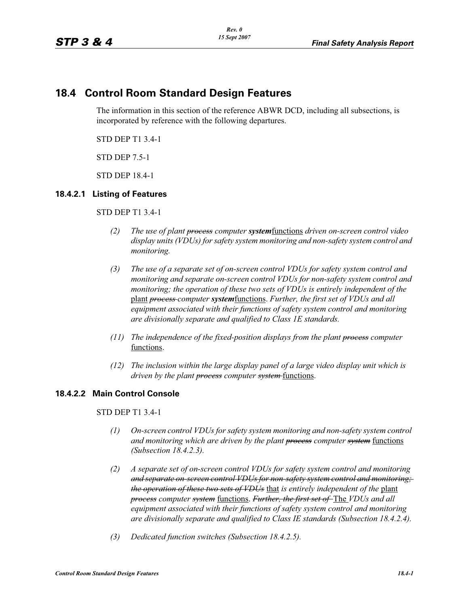# **18.4 Control Room Standard Design Features**

The information in this section of the reference ABWR DCD, including all subsections, is incorporated by reference with the following departures.

STD DEP T1 3.4-1

STD DEP 7.5-1

STD DEP 18.4-1

#### **18.4.2.1 Listing of Features**

STD DEP T1 3.4-1

- *(2) The use of plant process computer system*functions *driven on-screen control video display units (VDUs) for safety system monitoring and non-safety system control and monitoring.*
- *(3) The use of a separate set of on-screen control VDUs for safety system control and monitoring and separate on-screen control VDUs for non-safety system control and monitoring; the operation of these two sets of VDUs is entirely independent of the*  plant *process computer system*functions. *Further, the first set of VDUs and all equipment associated with their functions of safety system control and monitoring are divisionally separate and qualified to Class 1E standards.*
- *(11) The independence of the fixed-position displays from the plant process computer*  functions.
- *(12) The inclusion within the large display panel of a large video display unit which is driven by the plant process computer system* functions.

# **18.4.2.2 Main Control Console**

STD DEP T1 3.4-1

- *(1) On-screen control VDUs for safety system monitoring and non-safety system control and monitoring which are driven by the plant process computer system* functions *(Subsection 18.4.2.3).*
- *(2) A separate set of on-screen control VDUs for safety system control and monitoring and separate on-screen control VDUs for non-safety system control and monitoring; the operation of these two sets of VDUs* that *is entirely independent of the* plant *process computer system* functions. *Further, the first set of* The *VDUs and all equipment associated with their functions of safety system control and monitoring are divisionally separate and qualified to Class IE standards (Subsection 18.4.2.4).*
- *(3) Dedicated function switches (Subsection 18.4.2.5).*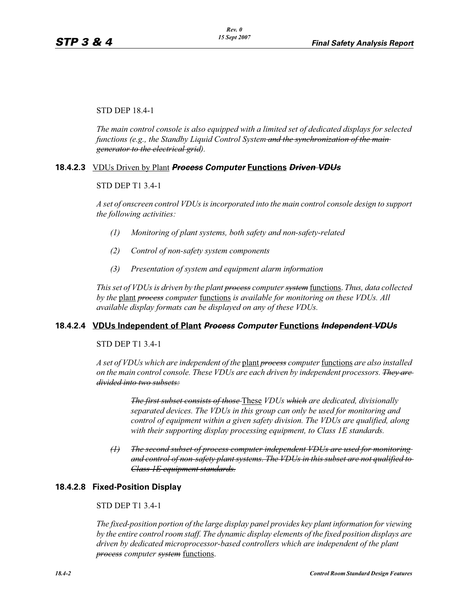STD DEP 18.4-1

*The main control console is also equipped with a limited set of dedicated displays for selected functions (e.g., the Standby Liquid Control System and the synchronization of the main generator to the electrical grid).*

# **18.4.2.3** VDUs Driven by Plant *Process Computer* **Functions** *Driven VDUs*

#### STD DEP T1 3.4-1

*A set of onscreen control VDUs is incorporated into the main control console design to support the following activities:*

- *(1) Monitoring of plant systems, both safety and non-safety-related*
- *(2) Control of non-safety system components*
- *(3) Presentation of system and equipment alarm information*

*This set of VDUs is driven by the plant process computer system* functions. *Thus, data collected by the* plant *process computer* functions *is available for monitoring on these VDUs. All available display formats can be displayed on any of these VDUs.*

# **18.4.2.4 VDUs Independent of Plant** *Process Computer* **Functions** *Independent VDUs*

#### STD DEP T1 3.4-1

*A set of VDUs which are independent of the* plant *process computer* functions *are also installed on the main control console. These VDUs are each driven by independent processors. They are divided into two subsets:*

> *The first subset consists of those* These *VDUs which are dedicated, divisionally separated devices. The VDUs in this group can only be used for monitoring and control of equipment within a given safety division. The VDUs are qualified, along with their supporting display processing equipment, to Class 1E standards.*

*(1) The second subset of process computer independent VDUs are used for monitoring and control of non-safety plant systems. The VDUs in this subset are not qualified to Class 1E equipment standards.*

# **18.4.2.8 Fixed-Position Display**

# STD DEP T1 3.4-1

*The fixed-position portion of the large display panel provides key plant information for viewing by the entire control room staff. The dynamic display elements of the fixed position displays are driven by dedicated microprocessor-based controllers which are independent of the plant process computer system* functions.